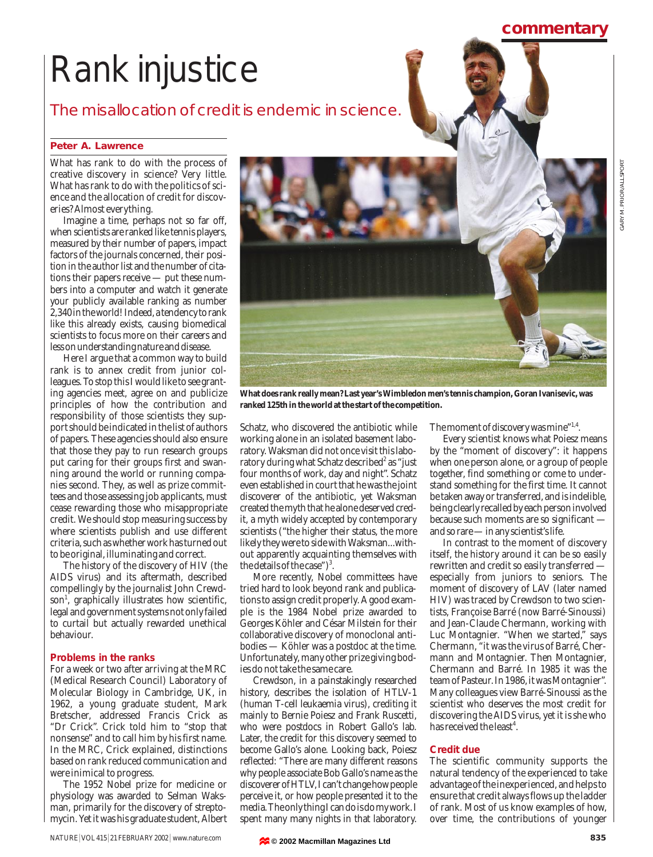# Rank injustice

The misallocation of credit is endemic in science.

### **Peter A. Lawrence**

What has rank to do with the process of creative discovery in science? Very little. What has rank to do with the politics of science and the allocation of credit for discoveries? Almost everything.

Imagine a time, perhaps not so far off, when scientists are ranked like tennis players, measured by their number of papers, impact factors of the journals concerned, their position in the author list and the number of citations their papers receive — put these numbers into a computer and watch it generate your publicly available ranking as number 2,340 in the world! Indeed, a tendency to rank like this already exists, causing biomedical scientists to focus more on their careers and less on understanding nature and disease.

Here I argue that a common way to build rank is to annex credit from junior colleagues. To stop this I would like to see granting agencies meet, agree on and publicize principles of how the contribution and responsibility of those scientists they support should be indicated in the list of authors of papers. These agencies should also ensure that those they pay to run research groups put caring for their groups first and swanning around the world or running companies second. They, as well as prize committees and those assessing job applicants, must cease rewarding those who misappropriate credit. We should stop measuring success by where scientists publish and use different criteria, such as whether work has turned out to be original, illuminating and correct.

The history of the discovery of HIV (the AIDS virus) and its aftermath, described compellingly by the journalist John Crewdson<sup>1</sup>, graphically illustrates how scientific, legal and government systems not only failed to curtail but actually rewarded unethical behaviour.

#### **Problems in the ranks**

For a week or two after arriving at the MRC (Medical Research Council) Laboratory of Molecular Biology in Cambridge, UK, in 1962, a young graduate student, Mark Bretscher, addressed Francis Crick as "Dr Crick". Crick told him to "stop that nonsense" and to call him by his first name. In the MRC, Crick explained, distinctions based on rank reduced communication and were inimical to progress.

The 1952 Nobel prize for medicine or physiology was awarded to Selman Waksman, primarily for the discovery of streptomycin. Yet it was his graduate student, Albert



**What does rank really mean? Last year's Wimbledon men's tennis champion, Goran Ivanisevic, was ranked 125th in the world at the start of the competition.**

Schatz, who discovered the antibiotic while working alone in an isolated basement laboratory. Waksman did not once visit this laboratory during what Schatz described<sup>2</sup> as "just four months of work, day and night". Schatz even established in court that he was the joint discoverer of the antibiotic, yet Waksman created the myth that he alone deserved credit, a myth widely accepted by contemporary scientists ("the higher their status, the more likely they were to side with Waksman...without apparently acquainting themselves with the details of the case" $)^3$ .

More recently, Nobel committees have tried hard to look beyond rank and publications to assign credit properly. A good example is the 1984 Nobel prize awarded to Georges Köhler and César Milstein for their collaborative discovery of monoclonal antibodies — Köhler was a postdoc at the time. Unfortunately, many other prize giving bodies do not take the same care.

Crewdson, in a painstakingly researched history, describes the isolation of HTLV-1 (human T-cell leukaemia virus), crediting it mainly to Bernie Poiesz and Frank Ruscetti, who were postdocs in Robert Gallo's lab. Later, the credit for this discovery seemed to become Gallo's alone. Looking back, Poiesz reflected: "There are many different reasons why people associate Bob Gallo's name as the discoverer of HTLV, I can't change how people perceive it, or how people presented it to the media. The only thing I can do is do my work. I spent many many nights in that laboratory.

The moment of discovery was mine"<sup>1,4</sup>.

Every scientist knows what Poiesz means by the "moment of discovery": it happens when one person alone, or a group of people together, find something or come to understand something for the first time. It cannot be taken away or transferred, and is indelible, being clearly recalled by each person involved because such moments are so significant and so rare — in any scientist's life.

In contrast to the moment of discovery itself, the history around it can be so easily rewritten and credit so easily transferred especially from juniors to seniors. The moment of discovery of LAV (later named HIV) was traced by Crewdson to two scientists, Françoise Barré (now Barré-Sinoussi) and Jean-Claude Chermann, working with Luc Montagnier. "When we started," says Chermann, "it was the virus of Barré, Chermann and Montagnier. Then Montagnier, Chermann and Barré. In 1985 it was the team of Pasteur. In 1986, it was Montagnier". Many colleagues view Barré-Sinoussi as the scientist who deserves the most credit for discovering the AIDS virus, yet it is she who has received the least<sup>4</sup>.

#### **Credit due**

The scientific community supports the natural tendency of the experienced to take advantage of the inexperienced, and helps to ensure that credit always flows up the ladder of rank. Most of us know examples of how, over time, the contributions of younger